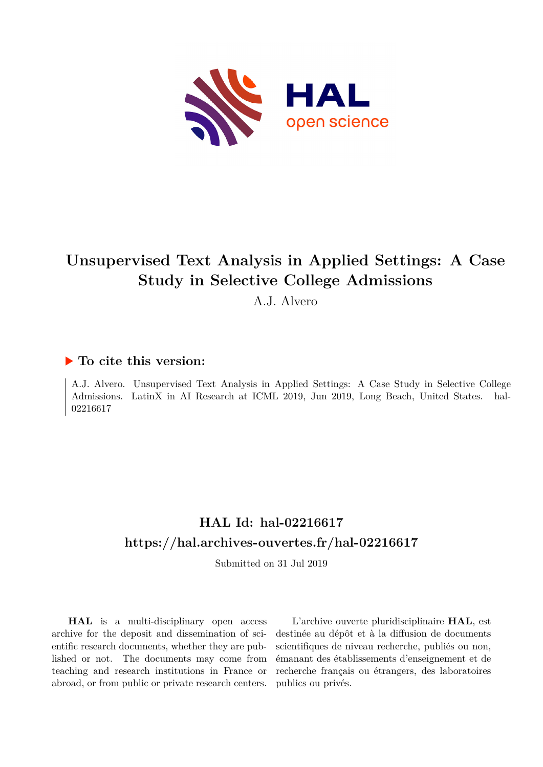

#### **Unsupervised Text Analysis in Applied Settings: A Case Study in Selective College Admissions**

A.J. Alvero

#### **To cite this version:**

A.J. Alvero. Unsupervised Text Analysis in Applied Settings: A Case Study in Selective College Admissions. LatinX in AI Research at ICML 2019, Jun 2019, Long Beach, United States. hal-02216617

#### **HAL Id: hal-02216617 <https://hal.archives-ouvertes.fr/hal-02216617>**

Submitted on 31 Jul 2019

**HAL** is a multi-disciplinary open access archive for the deposit and dissemination of scientific research documents, whether they are published or not. The documents may come from teaching and research institutions in France or abroad, or from public or private research centers.

L'archive ouverte pluridisciplinaire **HAL**, est destinée au dépôt et à la diffusion de documents scientifiques de niveau recherche, publiés ou non, émanant des établissements d'enseignement et de recherche français ou étrangers, des laboratoires publics ou privés.